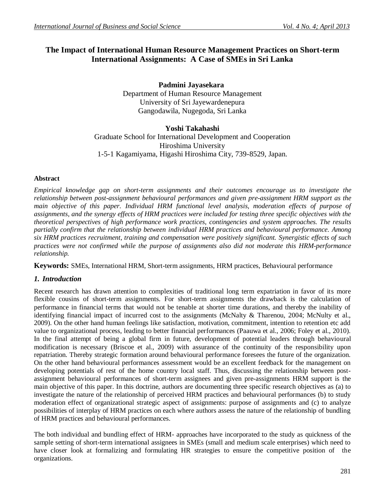# **The Impact of International Human Resource Management Practices on Short-term International Assignments: A Case of SMEs in Sri Lanka**

**Padmini Jayasekara** Department of Human Resource Management University of Sri Jayewardenepura Gangodawila, Nugegoda, Sri Lanka

# **Yoshi Takahashi**

Graduate School for International Development and Cooperation Hiroshima University 1-5-1 Kagamiyama, Higashi Hiroshima City, 739-8529, Japan.

### **Abstract**

*Empirical knowledge gap on short-term assignments and their outcomes encourage us to investigate the relationship between post-assignment behavioural performances and given pre-assignment HRM support as the*  main objective of this paper. Individual HRM functional level analysis, moderation effects of purpose of *assignments, and the synergy effects of HRM practices were included for testing three specific objectives with the theoretical perspectives of high performance work practices, contingencies and system approaches. The results partially confirm that the relationship between individual HRM practices and behavioural performance. Among six HRM practices recruitment, training and compensation were positively significant. Synergistic effects of such practices were not confirmed while the purpose of assignments also did not moderate this HRM-performance relationship.*

**Keywords:** SMEs, International HRM, Short-term assignments, HRM practices, Behavioural performance

# *1. Introduction*

Recent research has drawn attention to complexities of traditional long term expatriation in favor of its more flexible cousins of short-term assignments. For short-term assignments the drawback is the calculation of performance in financial terms that would not be tenable at shorter time durations, and thereby the inability of identifying financial impact of incurred cost to the assignments (McNalty & Tharenou, 2004; McNulty et al., 2009). On the other hand human feelings like satisfaction, motivation, commitment, intention to retention etc add value to organizational process, leading to better financial performances (Paauwa et al., 2006; Foley et al., 2010). In the final attempt of being a global firm in future, development of potential leaders through behavioural modification is necessary (Briscoe et al., 2009) with assurance of the continuity of the responsibility upon repatriation. Thereby strategic formation around behavioural performance foresees the future of the organization. On the other hand behavioural performances assessment would be an excellent feedback for the management on developing potentials of rest of the home country local staff. Thus, discussing the relationship between postassignment behavioural performances of short-term assignees and given pre-assignments HRM support is the main objective of this paper. In this doctrine, authors are documenting three specific research objectives as (a) to investigate the nature of the relationship of perceived HRM practices and behavioural performances (b) to study moderation effect of organizational strategic aspect of assignments: purpose of assignments and (c) to analyze possibilities of interplay of HRM practices on each where authors assess the nature of the relationship of bundling of HRM practices and behavioural performances.

The both individual and bundling effect of HRM- approaches have incorporated to the study as quickness of the sample setting of short-term international assignees in SMEs (small and medium scale enterprises) which need to have closer look at formalizing and formulating HR strategies to ensure the competitive position of the organizations.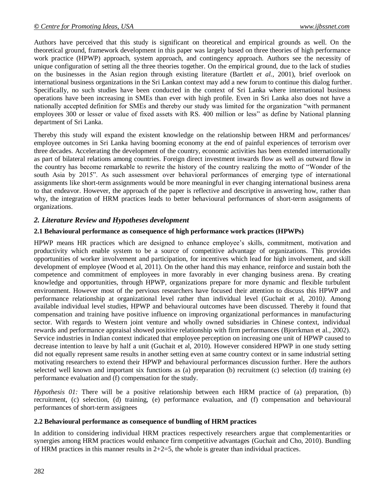Authors have perceived that this study is significant on theoretical and empirical grounds as well. On the theoretical ground, framework development in this paper was largely based on three theories of high performance work practice (HPWP) approach, system approach, and contingency approach. Authors see the necessity of unique configuration of setting all the three theories together. On the empirical ground, due to the lack of studies on the businesses in the Asian region through existing literature (Bartlett *et al.*, 2001), brief overlook on international business organizations in the Sri Lankan context may add a new forum to continue this dialog further. Specifically, no such studies have been conducted in the context of Sri Lanka where international business operations have been increasing in SMEs than ever with high profile. Even in Sri Lanka also does not have a nationally accepted definition for SMEs and thereby our study was limited for the organization "with permanent employees 300 or lesser or value of fixed assets with RS. 400 million or less" as define by National planning department of Sri Lanka.

Thereby this study will expand the existent knowledge on the relationship between HRM and performances/ employee outcomes in Sri Lanka having booming economy at the end of painful experiences of terrorism over three decades. Accelerating the development of the country, economic activities has been extended internationally as part of bilateral relations among countries. Foreign direct investment inwards flow as well as outward flow in the country has become remarkable to rewrite the history of the country realizing the motto of "Wonder of the south Asia by 2015". As such assessment over behavioral performances of emerging type of international assignments like short-term assignments would be more meaningful in ever changing international business arena to that endeavor. However, the approach of the paper is reflective and descriptive in answering how, rather than why, the integration of HRM practices leads to better behavioural performances of short-term assignments of organizations.

# *2. Literature Review and Hypotheses development*

### **2.1 Behavioural performance as consequence of high performance work practices (HPWPs)**

HPWP means HR practices which are designed to enhance employee's skills, commitment, motivation and productivity which enable system to be a source of competitive advantage of organizations. This provides opportunities of worker involvement and participation, for incentives which lead for high involvement, and skill development of employee (Wood et al, 2011). On the other hand this may enhance, reinforce and sustain both the competence and commitment of employees in more favorably in ever changing business arena. By creating knowledge and opportunities, through HPWP, organizations prepare for more dynamic and flexible turbulent environment. However most of the pervious researchers have focused their attention to discuss this HPWP and performance relationship at organizational level rather than individual level (Guchait et al, 2010*)*. Among available individual level studies, HPWP and behavioural outcomes have been discussed. Thereby it found that compensation and training have positive influence on improving organizational performances in manufacturing sector. With regards to Western joint venture and wholly owned subsidiaries in Chinese context, individual rewards and performance appraisal showed positive relationship with firm performances (Bjorrkman et al., 2002). Service industries in Indian context indicated that employee perception on increasing one unit of HPWP caused to decrease intention to leave by half a unit (Guchait et al, 2010). However considered HPWP in one study setting did not equally represent same results in another setting even at same country context or in same industrial setting motivating researchers to extend their HPWP and behavioural performances discussion further. Here the authors selected well known and important six functions as (a) preparation (b) recruitment (c) selection (d) training (e) performance evaluation and (f) compensation for the study.

*Hypothesis 01:* There will be a positive relationship between each HRM practice of (a) preparation, (b) recruitment, (c) selection, (d) training, (e) performance evaluation, and (f) compensation and behavioural performances of short-term assignees

### **2.2 Behavioural performance as consequence of bundling of HRM practices**

In addition to considering individual HRM practices respectively researchers argue that complementarities or synergies among HRM practices would enhance firm competitive advantages (Guchait and Cho, 2010). Bundling of HRM practices in this manner results in  $2+2=5$ , the whole is greater than individual practices.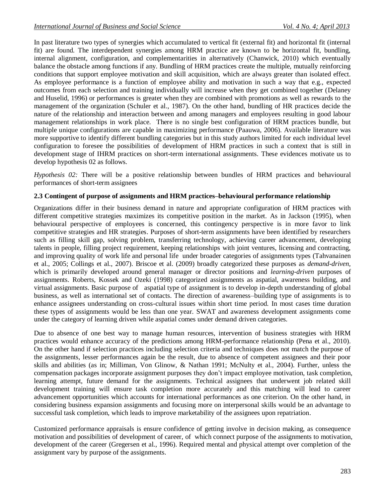In past literature two types of synergies which accumulated to vertical fit (external fit) and horizontal fit (internal fit) are found. The interdependent synergies among HRM practice are known to be horizontal fit, bundling, internal alignment, configuration, and complementarities in alternatively (Chanwick, 2010) which eventually balance the obstacle among functions if any. Bundling of HRM practices create the multiple, mutually reinforcing conditions that support employee motivation and skill acquisition, which are always greater than isolated effect. As employee performance is a function of employee ability and motivation in such a way that e.g., expected outcomes from each selection and training individually will increase when they get combined together (Delaney and Huselid, 1996) or performances is greater when they are combined with promotions as well as rewards to the management of the organization (Schuler et al., 1987). On the other hand, bundling of HR practices decide the nature of the relationship and interaction between and among managers and employees resulting in good labour management relationships in work place. There is no single best configuration of HRM practices bundle, but multiple unique configurations are capable in maximizing performance (Paauwa, 2006). Available literature was more supportive to identify different bundling categories but in this study authors limited for each individual level configuration to foresee the possibilities of development of HRM practices in such a context that is still in development stage of IHRM practices on short-term international assignments. These evidences motivate us to develop hypothesis 02 as follows.

*Hypothesis 02:* There will be a positive relationship between bundles of HRM practices and behavioural performances of short-term assignees

### **2.3 Contingent of purpose of assignments and HRM practices–behavioural performance relationship**

Organizations differ in their business demand in nature and appropriate configuration of HRM practices with different competitive strategies maximizes its competitive position in the market. As in Jackson (1995), when behavioural perspective of employees is concerned, this contingency perspective is in more favor to link competitive strategies and HR strategies. Purposes of short-term assignments have been identified by researchers such as filling skill gap, solving problem, transferring technology, achieving career advancement, developing talents in people, filling project requirement, keeping relationships with joint ventures, licensing and contracting, and improving quality of work life and personal life under broader categories of assignments types (Tahvanainen et al., 2005; Collings et al., 2007). Briscoe et al. (2009) broadly categorized these purposes as *demand-driven,* which is primarily developed around general manager or director positions and *learning-driven* purposes of assignments. Roberts, Kossek and Ozeki (1998) categorized assignments as aspatial, awareness building, and virtual assignments. Basic purpose of aspatial type of assignment is to develop in-depth understanding of global business, as well as international set of contacts. The direction of awareness–building type of assignments is to enhance assignees understanding on cross-cultural issues within short time period. In most cases time duration these types of assignments would be less than one year. SWAT and awareness development assignments come under the category of learning driven while aspatial comes under demand driven categories.

Due to absence of one best way to manage human resources, intervention of business strategies with HRM practices would enhance accuracy of the predictions among HRM-performance relationship (Pena et al., 2010). On the other hand if selection practices including selection criteria and techniques does not match the purpose of the assignments, lesser performances again be the result, due to absence of competent assignees and their poor skills and abilities (as in; Milliman, Von Glinow, & Nathan 1991; McNulty et al., 2004). Further, unless the compensation packages incorporate assignment purposes they don't impact employee motivation, task completion, learning attempt, future demand for the assignments. Technical assignees that underwent job related skill development training will ensure task completion more accurately and this matching will lead to career advancement opportunities which accounts for international performances as one criterion. On the other hand, in considering business expansion assignments and focusing more on interpersonal skills would be an advantage to successful task completion, which leads to improve marketability of the assignees upon repatriation.

Customized performance appraisals is ensure confidence of getting involve in decision making, as consequence motivation and possibilities of development of career, of which connect purpose of the assignments to motivation, development of the career (Gregersen et al., 1996). Required mental and physical attempt over completion of the assignment vary by purpose of the assignments.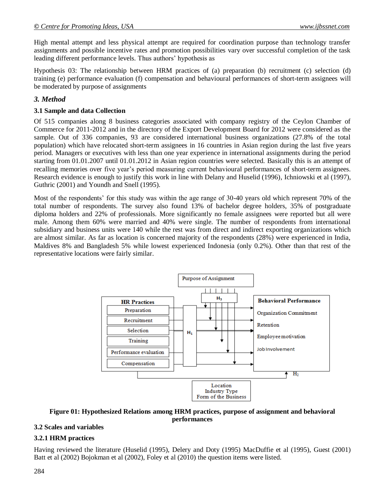High mental attempt and less physical attempt are required for coordination purpose than technology transfer assignments and possible incentive rates and promotion possibilities vary over successful completion of the task leading different performance levels. Thus authors' hypothesis as

Hypothesis 03: The relationship between HRM practices of (a) preparation (b) recruitment (c) selection (d) training (e) performance evaluation (f) compensation and behavioural performances of short-term assignees will be moderated by purpose of assignments

# *3. Method*

### **3.1 Sample and data Collection**

Of 515 companies along 8 business categories associated with company registry of the Ceylon Chamber of Commerce for 2011-2012 and in the directory of the Export Development Board for 2012 were considered as the sample. Out of 336 companies, 93 are considered international business organizations (27.8% of the total population) which have relocated short-term assignees in 16 countries in Asian region during the last five years period. Managers or executives with less than one year experience in international assignments during the period starting from 01.01.2007 until 01.01.2012 in Asian region countries were selected. Basically this is an attempt of recalling memories over five year's period measuring current behavioural performances of short-term assignees. Research evidence is enough to justify this work in line with Delany and Huselid (1996), Ichniowski et al (1997), Guthric (2001) and Youndh and Snell (1995).

Most of the respondents' for this study was within the age range of 30-40 years old which represent 70% of the total number of respondents. The survey also found 13% of bachelor degree holders, 35% of postgraduate diploma holders and 22% of professionals. More significantly no female assignees were reported but all were male. Among them 60% were married and 40% were single. The number of respondents from international subsidiary and business units were 140 while the rest was from direct and indirect exporting organizations which are almost similar. As far as location is concerned majority of the respondents (28%) were experienced in India, Maldives 8% and Bangladesh 5% while lowest experienced Indonesia (only 0.2%). Other than that rest of the representative locations were fairly similar.



#### **Figure 01: Hypothesized Relations among HRM practices, purpose of assignment and behavioral performances**

# **3.2 Scales and variables**

# **3.2.1 HRM practices**

Having reviewed the literature (Huselid (1995), Delery and Doty (1995) MacDuffie et al (1995), Guest (2001) Batt et al (2002) Bojokman et al (2002), Foley et al (2010) the question items were listed.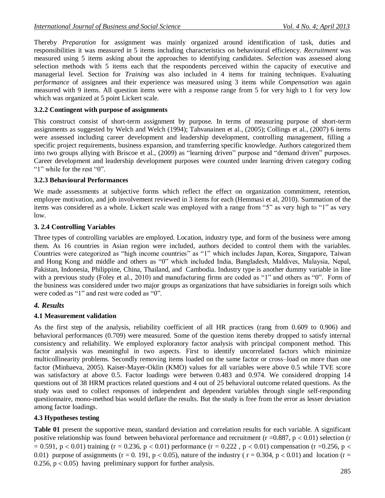Thereby *Preparation* for assignment was mainly organized around identification of task, duties and responsibilities it was measured in 5 items including characteristics on behavioural efficiency. *Recruitment* was measured using 5 items asking about the approaches to identifying candidates. *Selection* was assessed along selection methods with 5 items each that the respondents perceived within the capacity of executive and managerial level. Section for *Training* was also included in 4 items for training techniques. Evaluating *performance* of assignees and their experience was measured using 3 items while *Compensation* was again measured with 9 items. All question items were with a response range from 5 for very high to 1 for very low which was organized at 5 point Lickert scale.

### **3.2.2 Contingent with purpose of assignments**

This construct consist of short-term assignment by purpose. In terms of measuring purpose of short-term assignments as suggested by Welch and Welch (1994); Tahvanainen et al., (2005); Collings et al., (2007) 6 items were assessed including career development and leadership development, controlling management, filling a specific project requirements, business expansion, and transferring specific knowledge. Authors categorized them into two groups allying with Briscoe et al., (2009) as "learning driven" purpose and "demand driven" purposes. Career development and leadership development purposes were counted under learning driven category coding "1" while for the rest "0".

#### **3.2.3 Behavioural Performances**

We made assessments at subjective forms which reflect the effect on organization commitment, retention, employee motivation, and job involvement reviewed in 3 items for each (Hemmasi et al, 2010). Summation of the items was considered as a whole. Lickert scale was employed with a range from "5" as very high to "1" as very low.

#### **3. 2.4 Controlling Variables**

Three types of controlling variables are employed. Location, industry type, and form of the business were among them. As 16 countries in Asian region were included, authors decided to control them with the variables. Countries were categorized as "high income countries" as "1" which includes Japan, Korea, Singapore, Taiwan and Hong Kong and middle and others as "0" which included India, Bangladesh, Maldives, Malaysia, Nepal, Pakistan, Indonesia, Philippine, China, Thailand, and Cambodia. Industry type is another dummy variable in line with a previous study (Foley et al., 2010) and manufacturing firms are coded as "1" and others as "0". Form of the business was considered under two major groups as organizations that have subsidiaries in foreign soils which were coded as "1" and rest were coded as "0".

### *4. Results*

### **4.1 Measurement validation**

As the first step of the analysis, reliability coefficient of all HR practices (rang from 0.609 to 0.906) and behavioral performances (0.709) were measured. Some of the question items thereby dropped to satisfy internal consistency and reliability. We employed exploratory factor analysis with principal component method. This factor analysis was meaningful in two aspects. First to identify uncorrelated factors which minimize multicollinearity problems. Secondly removing items loaded on the same factor or cross–load on more than one factor (Minbaeva, 2005). Kaiser-Mayer-Oklin (KMO) values for all variables were above 0.5 while TVE score was satisfactory at above 0.5. Factor loadings were between 0.483 and 0.974. We considered dropping 14 questions out of 38 HRM practices related questions and 4 out of 25 behavioral outcome related questions. As the study was used to collect responses of independent and dependent variables through single self-responding questionnaire, mono-method bias would deflate the results. But the study is free from the error as lesser deviation among factor loadings.

### **4.3 Hypotheses testing**

**Table 01** present the supportive mean, standard deviation and correlation results for each variable. A significant positive relationship was found between behavioral performance and recruitment ( $r = 0.887$ ,  $p < 0.01$ ) selection (r  $= 0.591$ , p < 0.01) training (r = 0.236, p < 0.01) performance (r = 0.222, p < 0.01) compensation (r = 0.256, p < 0.01) purpose of assignments ( $r = 0.191$ ,  $p < 0.05$ ), nature of the industry ( $r = 0.304$ ,  $p < 0.01$ ) and location ( $r = 0.01$ ) 0.256,  $p < 0.05$ ) having preliminary support for further analysis.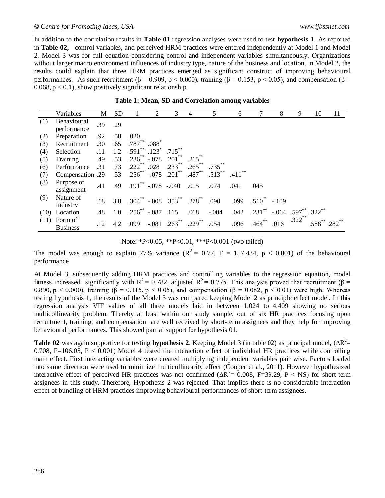In addition to the correlation results in **Table 01** regression analyses were used to test **hypothesis 1.** As reported in **Table 02,** control variables, and perceived HRM practices were entered independently at Model 1 and Model 2. Model 3 was for full equation considering control and independent variables simultaneously. Organizations without larger macro environment influences of industry type, nature of the business and location, in Model 2, the results could explain that three HRM practices emerged as significant construct of improving behavioural performances. As such recruitment (β = 0.909, p < 0.000), training (β = 0.153, p < 0.05), and compensation (β =  $0.068$ ,  $p < 0.1$ ), show positively significant relationship.

|     | Variables                                                        | M           | <b>SD</b> |                               | 2       | 3                                                 | 4                                     | 5         | 6                    |                             | 8    | 9         | 10                                            | 11 |
|-----|------------------------------------------------------------------|-------------|-----------|-------------------------------|---------|---------------------------------------------------|---------------------------------------|-----------|----------------------|-----------------------------|------|-----------|-----------------------------------------------|----|
| (1) | Behavioural<br>performance                                       | .39         | .29       |                               |         |                                                   |                                       |           |                      |                             |      |           |                                               |    |
| (2) | Preparation                                                      | .92         | .58       | .020                          |         |                                                   |                                       |           |                      |                             |      |           |                                               |    |
| (3) | Recruitment                                                      | $\cdot .30$ | .65       | $.787$ $*$                    | $.088*$ |                                                   |                                       |           |                      |                             |      |           |                                               |    |
| (4) | Selection                                                        | $\cdot$ .11 | 1.2       |                               |         | $.591^{\ast\ast}$ $.123^{\ast}$ $.715^{\ast\ast}$ |                                       |           |                      |                             |      |           |                                               |    |
| (5) | Training                                                         | .49         | .53       | $.236^{**}$ -.078 $.201^{**}$ |         |                                                   | $.215$ **                             |           |                      |                             |      |           |                                               |    |
| (6) | Performance                                                      | $-.31$      | .73       |                               |         | $.222$ $.028$ $.233$ $.33$                        | $.265$ **                             | $.735***$ |                      |                             |      |           |                                               |    |
| (7) | Compensation .29 .53 .256 <sup>**</sup> -.078 .201 <sup>**</sup> |             |           |                               |         |                                                   | $.487\dots$                           | $.513***$ | $.411$ <sup>**</sup> |                             |      |           |                                               |    |
| (8) | Purpose of<br>assignment                                         | .41         | .49       | $.191$ ** $-.078$ $-.040$     |         |                                                   | .015                                  | .074      | .041                 | .045                        |      |           |                                               |    |
| (9) | Nature of                                                        | .18         |           |                               |         |                                                   | 3.8 .304** $-.008$ .353** .278** .090 |           | .099                 | $.510^{**}$ -.109           |      |           |                                               |    |
|     | Industry                                                         |             |           |                               |         |                                                   |                                       |           |                      |                             |      |           |                                               |    |
|     | $(10)$ Location                                                  | .48         |           | 1.0 $.256^{**}$ -.087 .115    |         |                                                   | .068                                  | $-.004$   |                      | $.042$ $.231$ <sup>**</sup> |      |           | $-.064$ .597 <sup>**</sup> .322 <sup>**</sup> |    |
|     | $(11)$ Form of<br><b>Business</b>                                | $\cdot$ 12  | 4.2       | .099                          |         | $-.081$ $.263^{**}$ $.229^{**}$                   |                                       | .054      | .096                 | $.464***$                   | .016 | $.322$ ** |                                               |    |

|  |  | Table 1: Mean, SD and Correlation among variables |  |  |
|--|--|---------------------------------------------------|--|--|
|--|--|---------------------------------------------------|--|--|

#### Note: \*P<0.05, \*\*P<0.01, \*\*\*P<0.001 (two tailed)

The model was enough to explain 77% variance  $(R^2 = 0.77, F = 157.434, p < 0.001)$  of the behavioural performance

At Model 3, subsequently adding HRM practices and controlling variables to the regression equation, model fitness increased significantly with  $R^2 = 0.782$ , adjusted  $R^2 = 0.775$ . This analysis proved that recruitment (β = 0.890, p < 0.000), training (β = 0.115, p < 0.05), and compensation (β = 0.082, p < 0.01) were high. Whereas testing hypothesis 1, the results of the Model 3 was compared keeping Model 2 as principle effect model. In this regression analysis VIF values of all three models laid in between 1.024 to 4.409 showing no serious multicollinearity problem. Thereby at least within our study sample, out of six HR practices focusing upon recruitment, training, and compensation are well received by short-term assignees and they help for improving behavioural performances. This showed partial support for hypothesis 01.

**Table 02** was again supportive for testing **hypothesis 2**. Keeping Model 3 (in table 02) as principal model,  $(\Delta R^2 =$ 0.708, F=106.05, P < 0.001) Model 4 tested the interaction effect of individual HR practices while controlling main effect. First interacting variables were created multiplying independent variables pair wise. Factors loaded into same direction were used to minimize multicollinearity effect (Cooper et al., 2011). However hypothesized interactive effect of perceived HR practices was not confirmed ( $\Delta R^2 = 0.008$ , F=39.29, P < NS) for short-term assignees in this study. Therefore, Hypothesis 2 was rejected. That implies there is no considerable interaction effect of bundling of HRM practices improving behavioural performances of short-term assignees.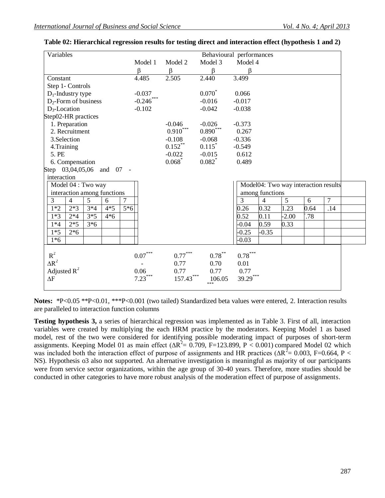| Variables                                                    | Behavioural performances |                      |                                  |                                                 |  |  |
|--------------------------------------------------------------|--------------------------|----------------------|----------------------------------|-------------------------------------------------|--|--|
|                                                              | Model 1                  | Model 2              | Model 3                          | Model 4                                         |  |  |
|                                                              | $\beta$                  | $\beta$              | β                                | $\beta$                                         |  |  |
| Constant                                                     | 4.485                    | 2.505                | 2.440                            | 3.499                                           |  |  |
| Step 1- Controls                                             |                          |                      |                                  |                                                 |  |  |
| $D_1$ -Industry type                                         | $-0.037$                 |                      | $0.070^{*}$                      | 0.066                                           |  |  |
| $D_2$ -Form of business                                      | $-0.246$ ***             |                      | $-0.016$                         | $-0.017$                                        |  |  |
| $D_3$ -Location                                              | $-0.102$                 |                      | $-0.042$                         | $-0.038$                                        |  |  |
| Step02-HR practices                                          |                          |                      |                                  |                                                 |  |  |
| 1. Preparation                                               |                          | $-0.046$             | $-0.026$                         | $-0.373$                                        |  |  |
| 2. Recruitment                                               |                          | $0.910^\mathrm{***}$ | $0.890^\ast{}^{\ast}{}^{\ast}{}$ | 0.267                                           |  |  |
| 3.Selection                                                  |                          | $-0.108$             | $-0.068$                         | $-0.336$                                        |  |  |
| 4. Training                                                  |                          | $0.152***$           | 0.115                            | $-0.549$                                        |  |  |
| 5. PE                                                        |                          | $-0.022$             | $-0.015$                         | 0.612                                           |  |  |
| 6. Compensation                                              |                          | 0.068                | $0.082$ *                        | 0.489                                           |  |  |
| Step 03,04,05,06 and 07 -                                    |                          |                      |                                  |                                                 |  |  |
| interaction                                                  |                          |                      |                                  |                                                 |  |  |
| Model 04 : Two way                                           |                          |                      |                                  | Model04: Two way interaction results            |  |  |
| interaction among functions                                  |                          |                      |                                  | among functions                                 |  |  |
| $\overline{7}$<br>$\overline{3}$<br>5<br>$\overline{4}$<br>6 |                          |                      |                                  | $\overline{7}$<br>5<br>3<br>6<br>$\overline{4}$ |  |  |
| $3*4$<br>$2*3$<br>$4*5$<br>5*6<br>$1*2$                      |                          |                      |                                  | 0.32<br>1.23<br>0.64<br>.14<br>0.26             |  |  |
| $3*5$<br>$1*3$<br>$2*4$<br>$4*6$                             |                          |                      |                                  | 0.52<br>$-2.00$<br>0.11<br>.78                  |  |  |
| $2*5$<br>$3*6$<br>$1*4$                                      |                          |                      |                                  | $-0.04$<br>0.59<br>0.33                         |  |  |
| $1*5$<br>$2*6$                                               |                          |                      |                                  | $-0.25$<br>$-0.35$                              |  |  |
| $1*6$                                                        |                          |                      |                                  | $-0.03$                                         |  |  |
|                                                              |                          |                      |                                  |                                                 |  |  |
| $R^2$                                                        | $0.07^{\ast\ast\ast}$    | $0.77\dotsm$         | $0.78$ **                        | $0.78^{\ast\ast\ast}$                           |  |  |
| $\Delta R^2$                                                 |                          | 0.77                 | 0.70                             | 0.01                                            |  |  |
| Adjusted $R^2$                                               | 0.06                     | 0.77                 | 0.77                             | 0.77                                            |  |  |
| $\Delta F$                                                   | $7.23***$                | $157.43***$          | 106.05                           | 39.29***                                        |  |  |
|                                                              |                          |                      | ***                              |                                                 |  |  |

|  | Table 02: Hierarchical regression results for testing direct and interaction effect (hypothesis 1 and 2) |  |  |  |
|--|----------------------------------------------------------------------------------------------------------|--|--|--|
|  |                                                                                                          |  |  |  |

**Notes:** \*P<0.05 \*\*P<0.01, \*\*\*P<0.001 (two tailed) Standardized beta values were entered, 2. Interaction results are paralleled to interaction function columns

**Testing hypothesis 3,** a series of hierarchical regression was implemented as in Table 3. First of all, interaction variables were created by multiplying the each HRM practice by the moderators. Keeping Model 1 as based model, rest of the two were considered for identifying possible moderating impact of purposes of short-term assignments. Keeping Model 01 as main effect ( $\Delta R^2 = 0.709$ , F=123.899, P < 0.001) compared Model 02 which was included both the interaction effect of purpose of assignments and HR practices ( $\Delta R^2$  = 0.003, F=0.664, P < NS). Hypothesis o3 also not supported. An alternative investigation is meaningful as majority of our participants were from service sector organizations, within the age group of 30-40 years. Therefore, more studies should be conducted in other categories to have more robust analysis of the moderation effect of purpose of assignments.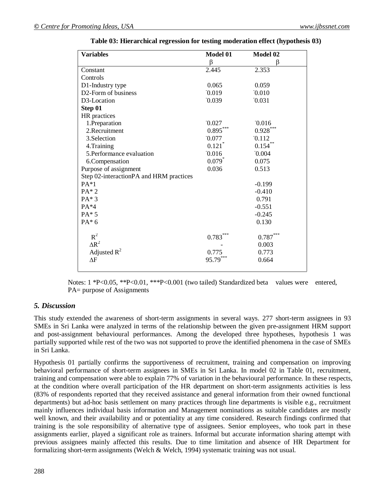| <b>Variables</b>                        | Model 01             | Model 02   |
|-----------------------------------------|----------------------|------------|
|                                         | β                    | β          |
| Constant                                | 2.445                | 2.353      |
| Controls                                |                      |            |
| D1-Industry type                        | 0.065                | 0.059      |
| D2-Form of business                     | 0.019                | 0.010      |
| D3-Location                             | 0.039                | 0.031      |
| Step 01                                 |                      |            |
| HR practices                            |                      |            |
| 1. Preparation                          | 0.027                | 0.016      |
| 2. Recruitment                          | $0.895***$           | $0.928***$ |
| 3.Selection                             | 0.077                | 0.112      |
| 4. Training                             | 0.121                | 0.154      |
| 5.Performance evaluation                | 0.016                | 0.004      |
| 6.Compensation                          | $0.079$ <sup>*</sup> | 0.075      |
| Purpose of assignment                   | 0.036                | 0.513      |
| Step 02-interactionPA and HRM practices |                      |            |
| $PA*1$                                  |                      | $-0.199$   |
| $PA*2$                                  |                      | $-0.410$   |
| $PA*3$                                  |                      | 0.791      |
| $PA*4$                                  |                      | $-0.551$   |
| $PA*5$                                  |                      | $-0.245$   |
| $PA*6$                                  |                      | 0.130      |
|                                         |                      |            |
| $R^2$                                   | 0.783                | 0.787      |
| $\Delta R^2$                            |                      | 0.003      |
| Adjusted $R^2$                          | 0.775                | 0.773      |
| $\Delta F$                              | 95.79                | 0.664      |
|                                         |                      |            |

**Table 03: Hierarchical regression for testing moderation effect (hypothesis 03)**

Notes: 1 \*P<0.05, \*\*P<0.01, \*\*\*P<0.001 (two tailed) Standardized beta values were entered, PA= purpose of Assignments

# *5. Discussion*

This study extended the awareness of short-term assignments in several ways. 277 short-term assignees in 93 SMEs in Sri Lanka were analyzed in terms of the relationship between the given pre-assignment HRM support and post-assignment behavioural performances. Among the developed three hypotheses, hypothesis 1 was partially supported while rest of the two was not supported to prove the identified phenomena in the case of SMEs in Sri Lanka.

Hypothesis 01 partially confirms the supportiveness of recruitment, training and compensation on improving behavioral performance of short-term assignees in SMEs in Sri Lanka. In model 02 in Table 01, recruitment, training and compensation were able to explain 77% of variation in the behavioural performance. In these respects, at the condition where overall participation of the HR department on short-term assignments activities is less (83% of respondents reported that they received assistance and general information from their owned functional departments) but ad-hoc basis settlement on many practices through line departments is visible e.g., recruitment mainly influences individual basis information and Management nominations as suitable candidates are mostly well known, and their availability and or potentiality at any time considered. Research findings confirmed that training is the sole responsibility of alternative type of assignees. Senior employees, who took part in these assignments earlier, played a significant role as trainers. Informal but accurate information sharing attempt with previous assignees mainly affected this results. Due to time limitation and absence of HR Department for formalizing short-term assignments (Welch & Welch, 1994) systematic training was not usual.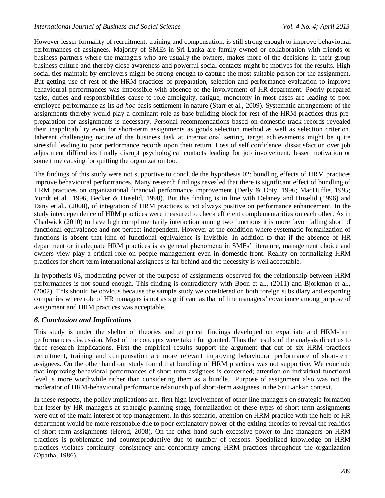However lesser formality of recruitment, training and compensation, is still strong enough to improve behavioural performances of assignees. Majority of SMEs in Sri Lanka are family owned or collaboration with friends or business partners where the managers who are usually the owners, makes more of the decisions in their group business culture and thereby close awareness and powerful social contacts might be motives for the results. High social ties maintain by employers might be strong enough to capture the most suitable person for the assignment. But getting use of rest of the HRM practices of preparation, selection and performance evaluation to improve behavioural performances was impossible with absence of the involvement of HR department. Poorly prepared tasks, duties and responsibilities cause to role ambiguity, fatigue, monotony in most cases are leading to poor employee performance as its *ad hoc* basis settlement in nature (Starr et al., 2009). Systematic arrangement of the assignments thereby would play a dominant role as base building block for rest of the HRM practices thus prepreparation for assignments is necessary. Personal recommendations based on domestic track records revealed their inapplicability even for short-term assignments as goods selection method as well as selection criterion. Inherent challenging nature of the business task at international setting, target achievements might be quite stressful leading to poor performance records upon their return. Loss of self confidence, dissatisfaction over job adjustment difficulties finally disrupt psychological contacts leading for job involvement, lesser motivation or some time causing for quitting the organization too.

The findings of this study were not supportive to conclude the hypothesis 02: bundling effects of HRM practices improve behavioural performances. Many research findings revealed that there is significant effect of bundling of HRM practices on organizational financial performance improvement (Derly & Doty, 1996; MacDuffie, 1995; Yondt et al., 1996, Becker & Huselid, 1998). But this finding is in line with Delaney and Huselid (1996) and Dany et al., (2008), of integration of HRM practices is not always positive on performance enhancement. In the study interdependence of HRM practices were measured to check efficient complementarities on each other. As in Chadwick (2010) to have high complimentarily interaction among two functions it is more favor falling short of functional equivalence and not perfect independent. However at the condition where systematic formalization of functions is absent that kind of functional equivalence is invisible. In addition to that if the absence of HR department or inadequate HRM practices is as general phenomena in SMEs' literature, management choice and owners view play a critical role on people management even in domestic front. Reality on formalizing HRM practices for short-term international assignees is far behind and the necessity is well acceptable.

In hypothesis 03, moderating power of the purpose of assignments observed for the relationship between HRM performances is not sound enough. This finding is contradictory with Boon et al., (2011) and Bjorkman et al., (2002). This should be obvious because the sample study we considered on both foreign subsidiary and exporting companies where role of HR managers is not as significant as that of line managers' covariance among purpose of assignment and HRM practices was acceptable.

# *6. Conclusion and Implications*

This study is under the shelter of theories and empirical findings developed on expatriate and HRM-firm performances discussion. Most of the concepts were taken for granted. Thus the results of the analysis direct us to three research implications. First the empirical results support the argument that out of six HRM practices recruitment, training and compensation are more relevant improving behavioural performance of short-term assignees. On the other hand our study found that bundling of HRM practices was not supportive. We conclude that improving behavioral performances of short-term assignees is concerned; attention on individual functional level is more worthwhile rather than considering them as a bundle. Purpose of assignment also was not the moderator of HRM-behavioural performance relationship of short-term assignees in the Sri Lankan context.

In these respects, the policy implications are, first high involvement of other line managers on strategic formation but lesser by HR managers at strategic planning stage, formalization of these types of short-term assignments were out of the main interest of top management. In this scenario, attention on HRM practice with the help of HR department would be more reasonable due to poor explanatory power of the exiting theories to reveal the realities of short-term assignments (Herod, 2008). On the other hand such excessive power to line managers on HRM practices is problematic and counterproductive due to number of reasons. Specialized knowledge on HRM practices violates continuity, consistency and conformity among HRM practices throughout the organization (Opatha, 1986).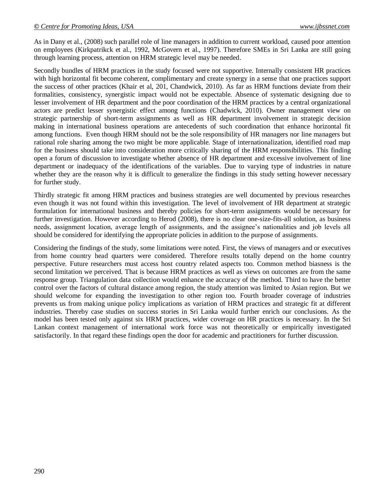As in Dany et al., (2008) such parallel role of line managers in addition to current workload, caused poor attention on employees (Kirkpatrikck et al., 1992, McGovern et al., 1997). Therefore SMEs in Sri Lanka are still going through learning process, attention on HRM strategic level may be needed.

Secondly bundles of HRM practices in the study focused were not supportive. Internally consistent HR practices with high horizontal fit become coherent, complimentary and create synergy in a sense that one practices support the success of other practices (Khair et al, 201, Chandwick, 2010). As far as HRM functions deviate from their formalities, consistency, synergistic impact would not be expectable. Absence of systematic designing due to lesser involvement of HR department and the poor coordination of the HRM practices by a central organizational actors are predict lesser synergistic effect among functions (Chadwick, 2010). Owner management view on strategic partnership of short-term assignments as well as HR department involvement in strategic decision making in international business operations are antecedents of such coordination that enhance horizontal fit among functions. Even though HRM should not be the sole responsibility of HR managers nor line managers but rational role sharing among the two might be more applicable. Stage of internationalization, identified road map for the business should take into consideration more critically sharing of the HRM responsibilities. This finding open a forum of discussion to investigate whether absence of HR department and excessive involvement of line department or inadequacy of the identifications of the variables. Due to varying type of industries in nature whether they are the reason why it is difficult to generalize the findings in this study setting however necessary for further study.

Thirdly strategic fit among HRM practices and business strategies are well documented by previous researches even though it was not found within this investigation. The level of involvement of HR department at strategic formulation for international business and thereby policies for short-term assignments would be necessary for further investigation. However according to Herod (2008), there is no clear one-size-fits-all solution, as business needs, assignment location, average length of assignments, and the assignee's nationalities and job levels all should be considered for identifying the appropriate policies in addition to the purpose of assignments.

Considering the findings of the study, some limitations were noted. First, the views of managers and or executives from home country head quarters were considered. Therefore results totally depend on the home country perspective. Future researchers must access host country related aspects too. Common method biasness is the second limitation we perceived. That is because HRM practices as well as views on outcomes are from the same response group. Triangulation data collection would enhance the accuracy of the method. Third to have the better control over the factors of cultural distance among region, the study attention was limited to Asian region. But we should welcome for expanding the investigation to other region too. Fourth broader coverage of industries prevents us from making unique policy implications as variation of HRM practices and strategic fit at different industries. Thereby case studies on success stories in Sri Lanka would further enrich our conclusions. As the model has been tested only against six HRM practices, wider coverage on HR practices is necessary. In the Sri Lankan context management of international work force was not theoretically or empirically investigated satisfactorily. In that regard these findings open the door for academic and practitioners for further discussion.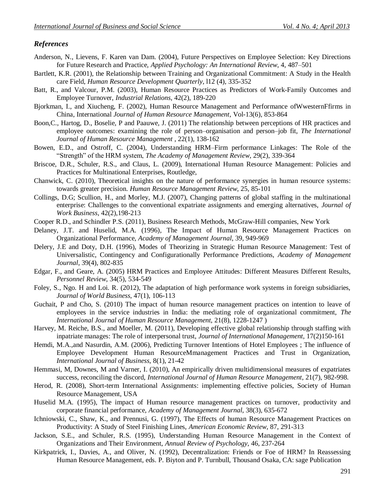### *References*

- Anderson, N., Lievens, F. Karen van Dam. (2004), Future Perspectives on Employee Selection: Key Directions for Future Research and Practice, *Applied Psychology: An International Review*, 4, 487–501
- Bartlett, K.R. (2001), the Relationship between Training and Organizational Commitment: A Study in the Health care Field, *Human Resource Development Quarterly*, l12 (4), 335-352
- Batt, R., and Valcour, P.M. (2003), Human Resource Practices as Predictors of Work-Family Outcomes and Employee Turnover, *Industrial Relations*, 42(2), 189-220
- Bjorkman, I., and Xiucheng, F. (2002), Human Resource Management and Performance ofWwesternFfirms in China, International *Journal of Human Resource Management*, Vol-13(6), 853-864
- Boon,C., Hartog, D., Boselie, P and Paauwe, J. (2011) The relationship between perceptions of HR practices and employee outcomes: examining the role of person–organisation and person–job fit, *The International Journal of Human Resource Management* , 22(1), 138-162
- Bowen, E.D., and Ostroff, C. (2004), Understanding HRM–Firm performance Linkages: The Role of the "Strength" of the HRM system, *The Academy of Management Review*, 29(2), 339-364
- Briscoe, D.R., Schuler, R.S., and Claus, L. (2009), International Human Resource Management: Policies and Practices for Multinational Enterprises, Routledge,
- Chanwick, C. (2010), Theoretical insights on the nature of performance synergies in human resource systems: towards greater precision. *Human Resource Management Review*, 25, 85-101
- Collings, D.G; Scullion, H., and Morley, M.J. (2007), Changing patterns of global staffing in the multinational enterprise: Challenges to the conventional expatriate assignments and emerging alternatives, *Journal of Work Business*, 42(2),198-213
- Cooper R.D., and Schindler P.S. (2011), Business Research Methods, McGraw-Hill companies, New York
- Delaney, J.T. and Huselid, M.A. (1996), The Impact of Human Resource Management Practices on Organizational Performance, *Academy of Management Journal*, 39, 949-969
- Delery, J.E and Doty, D.H. (1996), Modes of Theorizing in Strategic Human Resource Management: Test of Universalistic, Contingency and Configurationally Performance Predictions, *Academy of Management Journal*, 39(4), 802-835
- Edgar, F., and Geare, A. (2005) HRM Practices and Employee Attitudes: Different Measures Different Results, *Personnel Review*, 34(5), 534-549
- Foley, S., Ngo. H and Loi. R. (2012), The adaptation of high performance work systems in foreign subsidiaries, *Journal of World Business*, 47(1), 106-113
- Guchait, P and Cho, S. (2010) The impact of human resource management practices on intention to leave of employees in the service industries in India: the mediating role of organizational commitment, *The International Journal of Human Resource Management*, 21(8), 1228-1247 )
- Harvey, M. Reiche, B.S., and Moeller, M. (2011), Developing effective global relationship through staffing with inpatriate manages: The role of interpersonal trust, *Journal of International Management,* 17(2)150-161
- Hemdi, M.A.,and Nasurdin, A.M. (2006), Predicting Turnover Intentions of Hotel Employees ; The influence of Employee Development Human ResourceMmanagement Practices and Trust in Organization, *International Journal of Business*, 8(1), 21-42
- Hemmasi, M, Downes, M and Varner, I. (2010), An empirically driven multidimensional measures of expatriates success, reconciling the discord, *International Journal of Human Resource Management*, 21(7), 982-998.
- Herod, R. (2008), Short-term International Assignments: implementing effective policies, Society of Human Resource Management, USA
- Huselid M.A. (1995), The impact of Human resource management practices on turnover, productivity and corporate financial performance, *Academy of Management Journal*, 38(3), 635-672
- Ichniowski, C., Shaw, K., and Prennusi, G. (1997), The Effects of human Resource Management Practices on Productivity: A Study of Steel Finishing Lines, *American Economic Review*, 87, 291-313
- Jackson, S.E., and Schuler, R.S. (1995), Understanding Human Resource Management in the Context of Organizations and Their Environment, *Annual Review of Psychology*, 46, 237-264
- Kirkpatrick, I., Davies, A., and Oliver, N. (1992), Decentralization: Friends or Foe of HRM? In Reassessing Human Resource Management, eds. P. Biyton and P. Turnbull, Thousand Osaka, CA: sage Publication